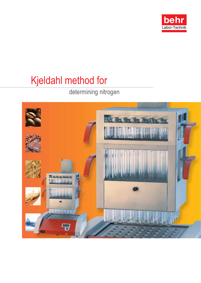

# Kjeldahl method for

determining nitrogen

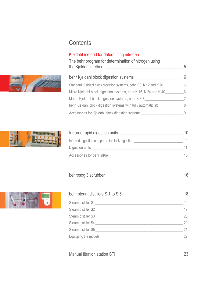# **Contents**

# Kjeldahl method for determining nitrogen

| The behr program for determination of nitrogen using<br>the Kjeldahl method | 5 |
|-----------------------------------------------------------------------------|---|
| behr Kjeldahl block digestion systems                                       | 6 |
| Standard Kjeldahl block digestion systems, behr K 8, K 12 and K 20          | 6 |
| Micro Kjeldahl block digestion systems, behr K 16, K 24 and K 40            | 6 |
| Macro Kjeldahl block digestion systems, behr K 8 B                          |   |
| behr Kjeldahl block digestion systems with fully automatic lift_            | 8 |
| Accessories for Kjeldahl block digestion systems                            | 9 |



| Infrared rapid digestion units                 | 10 |
|------------------------------------------------|----|
| Infrared digestion compared to block digestion | 10 |
| Digestion units                                |    |
| Accessories for behr InKjel                    | 15 |

| behrosog 3 scrubber |  |
|---------------------|--|
|                     |  |



| behr steam distillers S 1 to S 5                                                                                                                                                                                              | 18 |
|-------------------------------------------------------------------------------------------------------------------------------------------------------------------------------------------------------------------------------|----|
| Steam distiller S1                                                                                                                                                                                                            | 19 |
| Steam distiller S2 and the control of the control of the control of the control of the control of the control of the control of the control of the control of the control of the control of the control of the control of the | 19 |
| Steam distiller S3                                                                                                                                                                                                            | 20 |
| Steam distiller S4                                                                                                                                                                                                            | 20 |
| Steam distiller S5                                                                                                                                                                                                            |    |
|                                                                                                                                                                                                                               |    |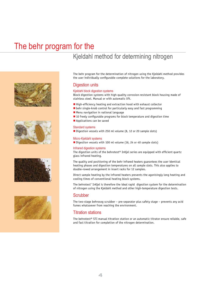# The behr program for the









# Kjeldahl method for determining nitrogen

The behr program for the determination of nitrogen using the Kjeldahl method provides the user individually configurable complete solutions for the laboratory.

#### Digestion units

#### Kjeldahl block digestion systems

Block digestion systems with high-quality corrosion-resistant block housing made of stainless steel. Manual or with automatic lift.

- $\blacksquare$  High-efficiency heating and extraction hood with exhaust collector
- $\blacksquare$  behr single-knob control for particularly easy and fast programming
- $\blacksquare$  Menu navigation in national language
- $\blacksquare$  10 freely configurable programs for block temperature and digestion time
- $\blacksquare$  Applications can be saved

#### Standard systems

Digestion vessels with 250 ml volume (8, 12 or 20 sample slots)

#### Micro-Kjeldahl systems

Digestion vessels with 100 ml volume (16, 24 or 40 sample slots)

#### Infrared digestion systems

The digestion units of the behrotest® InKjel series are equipped with efficient quartz glass infrared heating.

The quality and positioning of the behr infrared heaters guarantees the user identical heating phases and digestion temperatures on all sample slots. This also applies to double-rowed arrangement in insert racks for 12 samples.

Direct sample heating by the infrared heaters prevents the agonisingly long heating and cooling times of conventional heating block systems.

The behrotest® InKjel is therefore the ideal rapid digestion system for the determination of nitrogen using the Kjeldahl method and other high-temperature digestion tests.

#### **Scrubber**

The two-stage behrosog scrubber – pre-separator plus safety stage – prevents any acid fumes whatsoever from reaching the environment.

#### Titration stations

The behrotest® STI manual titration station or an automatic titrator ensure reliable, safe and fast titration for completion of the nitrogen determination.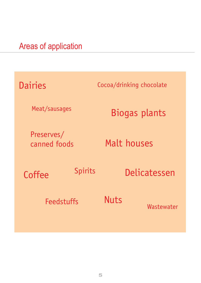# Areas of application

| <b>Dairies</b>             |         | Cocoa/drinking chocolate |              |
|----------------------------|---------|--------------------------|--------------|
| Meat/sausages              |         | Biogas plants            |              |
| Preserves/<br>canned foods |         | <b>Malt houses</b>       |              |
| Coffee                     | Spirits |                          | Delicatessen |
| <b>Feedstuffs</b>          |         | <b>Nuts</b>              | Wastewater   |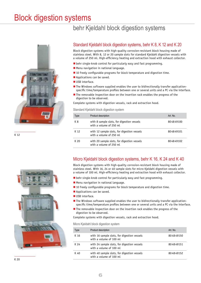# Block digestion systems



K 12



# Standard Kjeldahl block digestion systems, behr K 8, K 12 and K 20

Block digestion systems with high-quality corrosion-resistant block housing made of stainless steel. With 8, 12 or 20 sample slots for standard Kjeldahl digestion vessels with a volume of 250 ml. High-efficiency heating and extraction hood with exhaust collector.

 $\blacksquare$  behr single-knob control for particularly easy and fast programming.

behr Kjeldahl block digestion systems

- $\blacksquare$  Menu navigation in national language.
- $\blacksquare$  10 freely configurable programs for block temperature and digestion time.
- $\blacksquare$  Applications can be saved.
- $\blacksquare$  USB interface.
- $\blacksquare$  The Windows software supplied enables the user to bidirectionally transfer applicationspecific time/temperature profiles between one or several units and a PC via the interface.
- $\blacksquare$  The removable inspection door on the insertion rack enables the progress of the digestion to be observed.

Complete systems with digestion vessels, rack and extraction hood.

Standard Kjeldahl block digestion system

| Type | Product description                                                    | Art. No.  |
|------|------------------------------------------------------------------------|-----------|
| K 8  | with 8 sample slots, for digestion vessels<br>with a volume of 250 ml  | 804849100 |
| K 12 | with 12 sample slots, for digestion vessels<br>with a volume of 250 ml | 804849101 |
| K 20 | with 20 sample slots, for digestion vessels<br>with a volume of 250 ml | 804849102 |

### Micro Kjeldahl block digestion systems, behr K 16, K 24 and K 40

Block digestion systems with high-quality corrosion-resistant block housing made of stainless steel. With 16, 24 or 40 sample slots for micro Kjeldahl digestion vessels with a volume of 100 ml. High-efficiency heating and extraction hood with exhaust collector.

- $\blacksquare$  behr single-knob control for particularly easy and fast programming.
- $\blacksquare$  Menu navigation in national language.
- $\blacksquare$  10 freely configurable programs for block temperature and digestion time.
- $\blacksquare$  Applications can be saved.
- $\blacksquare$  USB interface.
- $\blacksquare$  The Windows software supplied enables the user to bidirectionally transfer applicationspecific time/temperature profiles between one or several units and a PC via the interface.
- $\blacksquare$  The removable inspection door on the insertion rack enables the progress of the digestion to be observed.

Complete systems with digestion vessels, rack and extraction hood.

Micro Kjeldahl block digestion system

| Type | Product description                                                    | Art. No.  |
|------|------------------------------------------------------------------------|-----------|
| K 16 | with 16 sample slots, for digestion vessels<br>with a volume of 100 ml | 804849150 |
| K 24 | with 24 sample slots, for digestion vessels<br>with a volume of 100 ml | 804849151 |
| K 40 | with 40 sample slots, for digestion vessels<br>with a volume of 100 ml | 804849152 |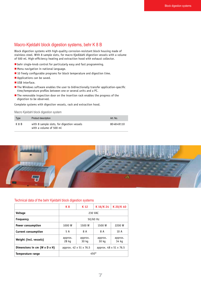## Macro-Kjeldahl block digestion systems, behr K 8 B

Block digestion systems with high-quality corrosion-resistant block housing made of stainless steel. With 8 sample slots, for macro Kjedldahl digestion vessels with a volume of 500 ml. High-efficiency heating and extraction hood with exhaust collector.

- $\blacksquare$  behr single-knob control for particularly easy and fast programming.
- $\blacksquare$  Menu navigation in national language.
- $\blacksquare$  10 freely configurable programs for block temperature and digestion time.
- $\blacksquare$  Applications can be saved.
- **u** USB interface.
- $\blacksquare$  The Windows software enables the user to bidirectionally transfer application-specific time/temperature profiles between one or several units and a PC.
- $\blacksquare$  The removable inspection door on the insertion rack enables the progress of the digestion to be observed.

Complete systems with digestion vessels, rack and extraction hood.

Macro Kjeldahl block digestion system

| <b>Type</b> | Product description                                                   | Art. No.  |
|-------------|-----------------------------------------------------------------------|-----------|
| K 8 B       | with 8 sample slots, for digestion vessels<br>with a volume of 500 ml | 804849110 |



#### Technical data of the behr Kjeldahl block digestion systems

|                                          | <b>K8</b>                                        | K 12             | K 16/K 24        | K 20/K 40        |
|------------------------------------------|--------------------------------------------------|------------------|------------------|------------------|
| <b>Voltage</b>                           |                                                  | 230 VAC          |                  |                  |
| <b>Frequency</b>                         | 50/60 Hz                                         |                  |                  |                  |
| <b>Power consumption</b>                 | 1000 W                                           | 1500 W           | 1500 W           | 2200 W           |
| Current consumption                      | 5 A                                              | 8 A              | 8 A              | 10A              |
| Weight (incl. vessels)                   | approx.<br>28 kg                                 | approx.<br>30 kg | approx.<br>30 kg | approx.<br>34 kg |
| Dimensions in cm $(W \times D \times H)$ | approx. 42 x 51 x 76.5<br>approx. 48 x 51 x 76.5 |                  |                  |                  |
| Temperature range                        | $450^\circ$                                      |                  |                  |                  |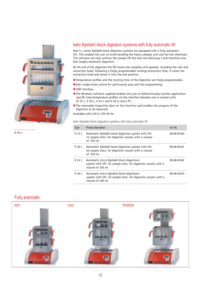

K 40 L

## behr Kjeldahl block digestion systems with fully automatic lift

behr's L series Kjeldahl block digestion systems are equipped with a fully automatic lift. This enables the user to avoid handling the heavy samples unit and the hot chemicals. The software not only controls the sample lift but also the behrosog 3 and therefore enables largely automatic digestion.

At the end of the digestion the lift moves the complete unit upwards, including the rack and extraction hood. Following a freely programmable cooling/ extraction time, it raises the extraction hood and moves it into the end position.

- **n** Temperature profiles and the starting time of the digestion are freely programmable.
- $\blacksquare$  behr single-knob control for particularly easy and fast programming.
- **USB** interface.
- The Windows software supplied enables the user to bidirectionally transfer applicationspecific time/temperature profiles via the interface between one or several units (K 12 L, K 20 L, K 24 L and K 40 L) and a PC.
- $\blacksquare$  The removable inspection door on the insertion rack enables the progress of the digestion to be observed.

Available with 230 V~/50-60 Hz.

behr Kjeldahl block digestion systems with fully automatic lift

| Type   | Product description                                                                                                              | Art. No.  |
|--------|----------------------------------------------------------------------------------------------------------------------------------|-----------|
| K 12 L | Automatic Kieldahl block digestion system with lift.<br>12 sample slots, for digestion vessels with a volume<br>$of$ 250 $ml$    | 804849160 |
| K 20 L | Automatic Kieldahl block digestion system with lift.<br>20 sample slots, for digestion vessels with a volume<br>of 250 ml        | 804849161 |
| K 24 L | Automatic micro Kjeldahl block digestions<br>system with lift. 24 sample slots, for digestion vessels with a<br>volume of 100 ml | 804849162 |
| K 40 L | Automatic micro Kjeldahl block digestions<br>system with lift. 40 sample slots, for digestion vessels with a<br>volume of 100 ml | 804849163 |

## Fully automatic

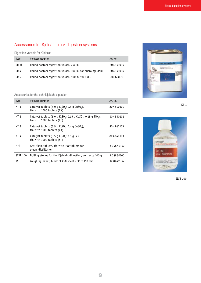# Accessories for Kjeldahl block digestion systems

Digestion vessels for K blocks

| Type            | Product description                                      | Art. No.  |
|-----------------|----------------------------------------------------------|-----------|
| SR 3i           | Round bottom digestion vessel, 250 ml                    | 804841015 |
| SR 4            | Round bottom digestion vessel, 100 ml for micro Kjeldahl | 804841016 |
| SR <sub>5</sub> | Round bottom digestion vessel, 500 ml for K 8 B          | B00373170 |

Accessories for the behr Kjeldahl digestion

| Type            | Product description                                                                                                                          | Art. No.  |
|-----------------|----------------------------------------------------------------------------------------------------------------------------------------------|-----------|
| KT 1            | Catalyst tablets $(5.0 \text{ g K}, 50)$ ; 0.5 g CuSO <sub>2</sub> ),<br>tin with 1000 tablets (CX)                                          | 804840100 |
| KT 2            | Catalyst tablets (5.0 g K <sub>2</sub> SO <sub>2</sub> ; 0.15 g CuSO <sub>2</sub> ; 0.15 g TiO <sub>2</sub> ),<br>tin with 1000 tablets (CT) | 804840101 |
| KT <sub>3</sub> | Catalyst tablets (3.5 g K <sub>2</sub> SO <sub>2</sub> ; 0.4 g CuSO <sub>2</sub> ),<br>tin with 1000 tablets (CK)                            | 804840103 |
| KT 4            | Catalyst tablets (3.5 g $K2SO2$ ; 3.5 g Se),<br>tin with 1000 tablets (ST)                                                                   | 804840103 |
| <b>AFS</b>      | Anti-foam tablets, tin with 100 tablets for<br>steam distillation                                                                            | 804840102 |
| SIST 100        | Boiling stones for the Kjeldahl digestion, contents 100 q                                                                                    | 804830700 |
| WP              | Weighing paper, block of 250 sheets, 95 x 110 mm                                                                                             | B00441136 |



 $KT<sub>1</sub>$ 



SIST 100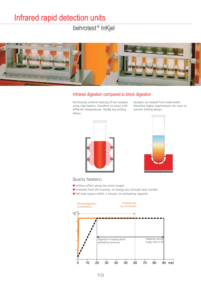# Infrared rapid detection units

# behrotest<sup>®</sup> InKjel



# Infrared digestion compared to block digestion

Particularly uniform heating of the samples using side heaters, therefore no zones with different temperatures. Hardly any boiling delays.

Samples are heated from underneath, therefore higher requirements for users to prevent boiling delays.





## Quartz heaters:

- $\blacksquare$  uniform effect along the entire length
- insulated from the housing, no energy loss through heat transfer
- $\blacksquare$  full heat output within 1 minute, no preheating required

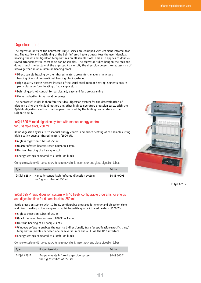### Digestion units

The digestion units of the behrotest® InKjel series are equipped with efficient infrared heating. The quality and positioning of the behr infrared heaters guarantees the user identical heating phases and digestion temperatures on all sample slots. This also applies to doublerowed arrangement in insert racks for 12 samples. The digestion tubes hang in the rack and do not touch the bottom of the digester. As a result, the digestion vessels are at less risk of breakage than in an aluminium heating block.

- $\blacksquare$  Direct sample heating by the infrared heaters prevents the agonisingly long heating times of conventional heating block systems.
- $\blacksquare$  High-quality quartz heaters instead of the usual steel tubular heating elements ensure particularly uniform heating of all sample slots
- $\blacksquare$  behr single-knob control for particularly easy and fast programming
- $\blacksquare$  Menu navigation in national language

The behrotest® InKjel is therefore the ideal digestion system for the determination of nitrogen using the Kjeldahl method and other high-temperature digestion tests. With the Kjeldahl digestion method, the temperature is set by the boiling temperature of the sulphuric acid.

#### InKjel 625 M rapid digestion system with manual energy control for 6 sample slots, 250 ml

Rapid digestion system with manual energy control and direct heating of the samples using high-quality quartz infrared heaters (1500 W).

- $\blacksquare$  6 glass digestion tubes of 250 ml
- Quartz infrared heaters reach 830°C in 1 min.
- $\blacksquare$  Uniform heating of all sample slots
- $\blacksquare$  Energy savings compared to aluminium block

Complete system with tiered rack, fume removal unit, insert rack and glass digestion tubes.

| Type | Product description                                                                          | Art. No.  |
|------|----------------------------------------------------------------------------------------------|-----------|
|      | In Kiel 625 M Manually controllable infrared digestion system<br>for 6 glass tubes of 250 ml | 804849998 |



InKjel 625 M

#### InKjel 625 P rapid digestion system with 10 freely configurable programs for energy and digestion time for 6 sample slots, 250 ml

Rapid digestion system with 10 freely configurable programs for energy and digestion time and direct heating of the samples using high-quality quartz infrared heaters (1500 W).

- $\blacksquare$  6 glass digestion tubes of 250 ml
- Quartz infrared heaters reach 830°C in 1 min.
- $\blacksquare$  Uniform heating of all sample slots
- $\blacksquare$  Windows software enables the user to bidirectionally transfer application-specific time/ temperature profiles between one or several units and a PC via the USB interface.
- $\blacksquare$  Energy savings compared to aluminium block

Complete system with tiered rack, fume removal unit, insert rack and glass digestion tubes.

| Type         | Product description                                                   | Art. No.  |
|--------------|-----------------------------------------------------------------------|-----------|
| InKiel 625 P | Programmable infrared digestion system<br>for 6 glass tubes of 250 ml | 804850001 |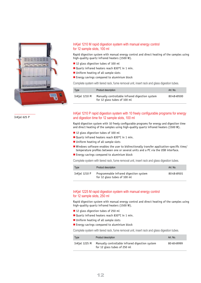

InKjel 625 P

#### InKjel 1210 M rapid digestion system with manual energy control for 12 sample slots, 100 ml

Rapid digestion system with manual energy control and direct heating of the samples using high-quality quartz infrared heaters (1500 W).

- 12 glass digestion tubes of 100 ml
- Quartz infrared heaters reach 830°C in 1 min.
- $\blacksquare$  Uniform heating of all sample slots
- $\blacksquare$  Energy savings compared to aluminium block

Complete system with tiered rack, fume removal unit, insert rack and glass digestion tubes.

| Type          | Product description                                                             | Art. No.  |
|---------------|---------------------------------------------------------------------------------|-----------|
| InKiel 1210 M | Manually controllable infrared digestion system<br>for 12 glass tubes of 100 ml | 804849500 |

#### InKjel 1210 P rapid digestion system with 10 freely configurable programs for energy and digestion time for 12 sample slots, 100 ml

Rapid digestion system with 10 freely configurable programs for energy and digestion time and direct heating of the samples using high-quality quartz infrared heaters (1500 W).

- 12 glass digestion tubes of 100 ml
- Quartz infrared heaters reach 830°C in 1 min.
- $\blacksquare$  Uniform heating of all sample slots
- $\blacksquare$  Windows software enables the user to bidirectionally transfer application-specific time/ temperature profiles between one or several units and a PC via the USB interface.
- $\blacksquare$  Energy savings compared to aluminium block

Complete system with tiered rack, fume removal unit, insert rack and glass digestion tubes.

| <b>Type</b>   | Product description                                                    | Art. No.  |
|---------------|------------------------------------------------------------------------|-----------|
| InKiel 1210 P | Programmable infrared digestion system<br>for 12 glass tubes of 100 ml | 804849501 |

#### InKjel 1225 M rapid digestion system with manual energy control for 12 sample slots, 250 ml

Rapid digestion system with manual energy control and direct heating of the samples using high-quality quartz infrared heaters (1500 W).

- 12 glass digestion tubes of 250 ml
- Quartz infrared heaters reach 830°C in 1 min.
- $\blacksquare$  Uniform heating of all sample slots
- $\blacksquare$  Energy savings compared to aluminium block

Complete system with tiered rack, fume removal unit, insert rack and glass digestion tubes.

| Type          | Product description                                                             | Art. No.  |
|---------------|---------------------------------------------------------------------------------|-----------|
| InKjel 1225 M | Manually controllable infrared digestion system<br>for 12 glass tubes of 250 ml | 804849999 |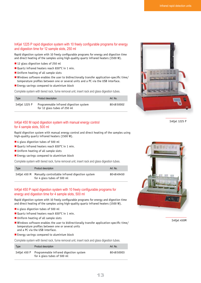#### InKjel 1225 P rapid digestion system with 10 freely configurable programs for energy and digestion time for 12 sample slots, 250 ml

Rapid digestion system with 10 freely configurable programs for energy and digestion time and direct heating of the samples using high-quality quartz infrared heaters (1500 W).

- 12 glass digestion tubes of 250 ml
- Quartz infrared heaters reach 830°C in 1 min.
- $\blacksquare$  Uniform heating of all sample slots
- $\blacksquare$  Windows software enables the user to bidirectionally transfer application-specific time/ temperature profiles between one or several units and a PC via the USB interface.
- $\blacksquare$  Energy savings compared to aluminium block

Complete system with tiered rack, fume removal unit, insert rack and glass digestion tubes.

| Type          | Product description                                                    | Art. No.  |
|---------------|------------------------------------------------------------------------|-----------|
| InKiel 1225 P | Programmable infrared digestion system<br>for 12 glass tubes of 250 ml | 804850002 |

#### InKjel 450 M rapid digestion system with manual energy control for 4 sample slots, 500 ml

Rapid digestion system with manual energy control and direct heating of the samples using high-quality quartz infrared heaters (1500 W).

- 4 glass digestion tubes of 500 ml
- Quartz infrared heaters reach 830°C in 1 min.
- $\blacksquare$  Uniform heating of all sample slots
- **Energy savings compared to aluminium block**

Complete system with tiered rack, fume removal unit, insert rack and glass digestion tubes.

| <b>Type</b> | Product description                                                                          | Art. No.  |
|-------------|----------------------------------------------------------------------------------------------|-----------|
|             | In Kiel 450 M Manually controllable infrared digestion system<br>for 4 glass tubes of 500 ml | 804849450 |

#### InKjel 450 P rapid digestion system with 10 freely configurable programs for energy and digestion time for 4 sample slots, 500 ml

Rapid digestion system with 10 freely configurable programs for energy and digestion time and direct heating of the samples using high-quality quartz infrared heaters (1500 W).

- 4 glass digestion tubes of 500 ml
- Quartz infrared heaters reach 830°C in 1 min.
- $\blacksquare$  Uniform heating of all sample slots
- $\blacksquare$  Windows software enables the user to bidirectionally transfer application-specific time/ temperature profiles between one or several units and a PC via the USB interface.
- $\blacksquare$  Energy savings compared to aluminium block

Complete system with tiered rack, fume removal unit, insert rack and glass digestion tubes.

| <b>Type</b> | Product description                                                                 | Art. No.  |
|-------------|-------------------------------------------------------------------------------------|-----------|
|             | In Kiel 450 P Programmable infrared digestion system<br>for 4 glass tubes of 500 ml | 804850003 |



InKjel 1225 P



InKjel 450M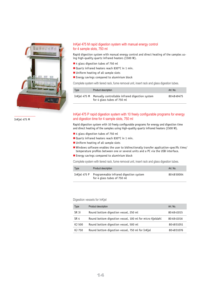

InKjel 475 M

#### InKjel 475 M rapid digestion system with manual energy control for 4 sample slots, 750 ml

Rapid digestion system with manual energy control and direct heating of the samples using high-quality quartz infrared heaters (1500 W).

- 4 glass digestion tubes of 750 ml
- Quartz infrared heaters reach 830°C in 1 min.
- $\blacksquare$  Uniform heating of all sample slots
- **Energy savings compared to aluminium block**

Complete system with tiered rack, fume removal unit, insert rack and glass digestion tubes.

| <b>Type</b> | Product description                                                                          | Art. No.  |
|-------------|----------------------------------------------------------------------------------------------|-----------|
|             | In Kiel 475 M Manually controllable infrared digestion system<br>for 4 glass tubes of 750 ml | 804849475 |

#### InKjel 475 P rapid digestion system with 10 freely configurable programs for energy and digestion time for 4 sample slots, 750 ml

Rapid digestion system with 10 freely configurable programs for energy and digestion time and direct heating of the samples using high-quality quartz infrared heaters (1500 W).

- $\blacksquare$  4 glass digestion tubes of 750 ml
- Quartz infrared heaters reach 830°C in 1 min.
- $\blacksquare$  Uniform heating of all sample slots
- $\blacksquare$  Windows software enables the user to bidirectionally transfer application-specific time/ temperature profiles between one or several units and a PC via the USB interface.
- $\blacksquare$  Energy savings compared to aluminium block

Complete system with tiered rack, fume removal unit, insert rack and glass digestion tubes.

| <b>Type</b> | Product description                                                                | Art. No.  |
|-------------|------------------------------------------------------------------------------------|-----------|
|             | InKiel 475 P Programmable infrared digestion system<br>for 4 glass tubes of 750 ml | 804850004 |

Digestion vessels for InKjel

| <b>Type</b>      | Product description                                      | Art. No.  |
|------------------|----------------------------------------------------------|-----------|
| SR <sub>3i</sub> | Round bottom digestion vessel, 250 ml                    | 804841015 |
| SR 4             | Round bottom digestion vessel, 100 ml for micro Kjeldahl | 804841016 |
| KJ 500           | Round bottom digestion vessel, 500 ml                    | 804851051 |
| KJ 750           | Round bottom digestion vessel, 750 ml for InKjel         | 804851076 |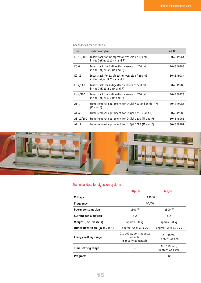| Accessories for behr InKjel |  |  |  |  |
|-----------------------------|--|--|--|--|
|-----------------------------|--|--|--|--|

| <b>Type</b>     | Product description                                                            | Art. No.  |
|-----------------|--------------------------------------------------------------------------------|-----------|
| EG 12/100       | Insert rack for 12 digestion vessels of 100 ml<br>in the InKjel 1210 (M and P) | 804849964 |
| EG 6            | Insert rack for 6 digestion vessels of 250 ml<br>in the InKjel 625 (M and P)   | 804849983 |
| EG 12           | Insert rack for 12 digestion vessels of 250 ml<br>in the InKjel 1225 (M and P) | 804849984 |
| EG 4/500        | Insert rack for 4 digestion vessels of 500 ml<br>in the InKjel 450 (M and P)   | 804849982 |
| EG 4/750        | Insert rack for 4 digestion vessels of 750 ml<br>in the InKjel 475 (M and P)   | 804849978 |
| AE <sub>4</sub> | Fume removal equipment for InKjel 450 and InKjel 475<br>$(M \text{ and } P)$   | 804849985 |
| AE 6            | Fume removal equipment for InKjel 625 (M and P)                                | 804849986 |
| AE 12/100       | Fume removal equipment for InKiel 1210 (M and P)                               | 804849965 |
| AE 12           | Fume removal equipment for InKjel 1225 (M and P)                               | 804849987 |



# Technical data for digestion systems

|                              | <b>InKjel M</b>                                          | <b>InKjel P</b>                   |  |  |
|------------------------------|----------------------------------------------------------|-----------------------------------|--|--|
| Voltage                      | 230 VAC                                                  |                                   |  |  |
| <b>Frequency</b>             | 50/60 Hz                                                 |                                   |  |  |
| <b>Power consumption</b>     | 1500 W                                                   | 1500 W                            |  |  |
| <b>Current consumption</b>   | 8 A                                                      | 8 A                               |  |  |
| Weight (incl. vessels)       | approx. 20 kg                                            | approx. 20 kg                     |  |  |
| Dimensions in cm (W x D x H) | approx. 54 x 44 x 75                                     | approx. 54 x 44 x 75              |  |  |
| <b>Energy setting range</b>  | 0 100%, continuously<br>variable.<br>manually adjustable | $0100\%$<br>in steps of $1\%$     |  |  |
| Time setting range           |                                                          | $0$ 199 min,<br>in steps of 1 min |  |  |
| <b>Programs</b>              | 10                                                       |                                   |  |  |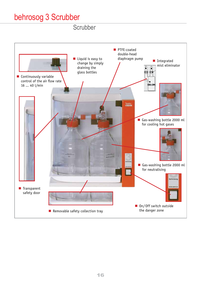# behrosog 3 Scrubber

**Scrubber** 

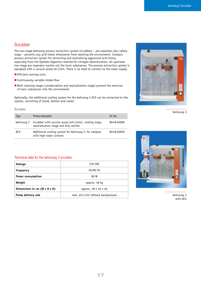## **Scrubber**

The two-stage behrosog process extraction system (scrubber) – pre-separator plus safety stage – prevents any acid fumes whatsoever from reaching the environment. Compact process extraction system for extracting and neutralising aggressive acid fumes, especially from the Kjeldahl digestion method for nitrogen determination. An upstream two-stage pre-separator washes out the toxic substances. The process extraction system is equipped with a vacuum pump 40 l/min. There is no need to connect to the water supply.

- $\blacksquare$  Efficient running costs
- $\blacksquare$  Continuously variable intake flow
- $\blacksquare$  Both cleaning stages (condensation and neutralisation stage) prevent the emission of toxic substances into the environment

Optionally, the additional cooling system for the behrosog 3 ACS can be connected to the system, consisting of stand, bottles and cooler.

#### Scrubber

| Type       | Product description                                                                            | Art. No.  |
|------------|------------------------------------------------------------------------------------------------|-----------|
| behrosog 3 | Scrubber with suction pump (40 l/min), cooling stage,<br>neutralisation stage and drip catcher | 804840008 |
| ACS        | Additional cooling system for behrosog 3, for samples<br>with high water content               | 804840009 |



behrosog 3



#### Technical data for the behrosog 3 scrubber

| <b>Voltage</b>                           | 230 VAC                            |
|------------------------------------------|------------------------------------|
| Frequency                                | 50/60 Hz                           |
| <b>Power consumption</b>                 | 80 W                               |
| Weight                                   | approx. 18 kg                      |
| Dimensions in $cm (W \times D \times H)$ | approx. 38 x 34 x 40               |
| Pump delivery rate                       | max. 40 l/min without backpressure |

behrosog 3 with ACS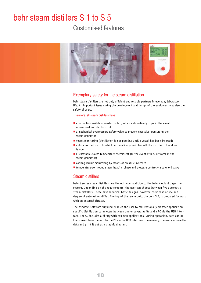# behr steam distillers S 1 to S 5

# Customised features



# Exemplary safety for the steam distillation

behr steam distillers are not only efficient and reliable partners in everyday laboratory life. An important issue during the development and design of the equipment was also the safety of users.

#### Therefore, all steam distillers have:

- $\blacksquare$  a protection switch as master switch, which automatically trips in the event of overload and short-circuit
- $\blacksquare$  a mechanical overpressure safety valve to prevent excessive pressure in the steam generator
- $\blacksquare$  vessel monitoring (distillation is not possible until a vessel has been inserted)
- $\blacksquare$  a door contact switch, which automatically switches off the distiller if the door is open
- $\blacksquare$  a resettable excess temperature thermostat (in the event of lack of water in the steam generator)
- $\blacksquare$  cooling circuit monitoring by means of pressure switches
- $\blacksquare$  temperature-controlled steam heating phase and pressure control via solenoid valve

### Steam distillers

behr S series steam distillers are the optimum addition to the behr Kjeldahl digestion system. Depending on the requirements, the user can choose between five automatic steam distillers. These have identical basic designs, however, their ease of use and degree of automation differ. The top of the range unit, the behr S 5, is prepared for work with an external titrator.

The Windows software supplied enables the user to bidirectionally transfer applicationspecific distillation parameters between one or several units and a PC via the USB interface. The CD includes a library with common applications. During operation, data can be transferred from the unit to the PC via the USB interface. If necessary, the user can save the data and print it out as a graphic diagram.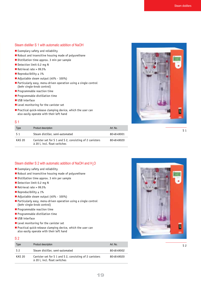#### Steam distiller S 1 with automatic addition of NaOH

- $\blacksquare$  Exemplary safety and reliability
- $\blacksquare$  Robust and insensitive housing made of polyurethane
- Distillation time approx. 3 min per sample
- $\blacksquare$  Detection limit 0.2 mg N
- Retrieval rate  $> 99.5\%$
- Reproducibility  $\pm$  1%
- Adjustable steam output (40% 100%)
- $\blacksquare$  Particularly easy, menu-driven operation using a single control (behr single-knob control)
- $\blacksquare$  Programmable reaction time
- $\blacksquare$  Programmable distillation time
- **N** USB interface
- $\blacksquare$  Level monitoring for the canister set
- $\blacksquare$  Practical quick-release clamping device, which the user can also easily operate with their left hand

#### S 1

| Type          | Product description                                                                     | Art. No.  |
|---------------|-----------------------------------------------------------------------------------------|-----------|
| .S. 1         | Steam distiller, semi-automated                                                         | 804849001 |
| <b>KAS 20</b> | Canister set for S 1 and S 2, consisting of 2 canisters<br>à 20 l, incl. float switches | 804849020 |



S 1

### Steam distiller S 2 with automatic addition of NaOH and  $\textsf{H}_{\text{2}}\textsf{O}$

- $\blacksquare$  Exemplary safety and reliability
- $\blacksquare$  Robust and insensitive housing made of polyurethane
- $\blacksquare$  Distillation time approx. 3 min per sample
- Detection limit 0.2 mg N
- Retrieval rate  $> 99.5\%$
- Reproducibility  $\pm$  1%
- Adjustable steam output (40% 100%)
- Particularly easy, menu-driven operation using a single control (behr single-knob control)
- $\blacksquare$  Programmable reaction time
- $\blacksquare$  Programmable distillation time
- $\blacksquare$  USB interface
- $\blacksquare$  Level monitoring for the canister set
- $\blacksquare$  Practical quick-release clamping device, which the user can also easily operate with their left hand

#### S 2

| Type   | Product description                                                                     | Art. No.  |
|--------|-----------------------------------------------------------------------------------------|-----------|
| .S. 2  | Steam distiller, semi-automated                                                         | 804849002 |
| KAS 20 | Canister set for S 1 and S 2, consisting of 2 canisters<br>à 20 l, incl. float switches | 804849020 |

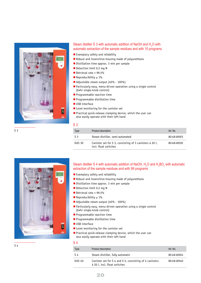

#### Steam distiller S 3 with automatic addition of NaOH and  $H_2O$  with automatic extraction of the sample residues and with 10 programs

- $\blacksquare$  Exemplary safety and reliability
- $\blacksquare$  Robust and insensitive housing made of polyurethane
- Distillation time approx. 3 min per sample
- Detection limit 0.2 mg N
- Retrieval rate >  $99.5%$
- Reproducibility  $\pm$  1%
- Adjustable steam output (40% 100%)
- $\blacksquare$  Particularly easy, menu-driven operation using a single control (behr single-knob control)
- $\blacksquare$  Programmable reaction time
- $\blacksquare$  Programmable distillation time
- $\blacksquare$  USB interface
- $\blacksquare$  Level monitoring for the canister set
- $\blacksquare$  Practical quick-release clamping device, which the user can also easily operate with their left hand

#### S 3

| <b>Type</b>    | Product description                                                             | Art. No.  |
|----------------|---------------------------------------------------------------------------------|-----------|
| S <sub>3</sub> | Steam distiller, semi-automated                                                 | 804849003 |
| KAS 30         | Canister set for S 3, consisting of 3 canisters à 20 l,<br>incl. float switches | 804849030 |



Steam distiller S 4 with automatic addition of NaOH,  $H_2O$  and  $H_3BO_3$  with automatic extraction of the sample residues and with 99 programs

- $\blacksquare$  Exemplary safety and reliability
- $\blacksquare$  Robust and insensitive housing made of polyurethane
- $\blacksquare$  Distillation time approx. 3 min per sample
- Detection limit 0.2 mg N
- Retrieval rate >  $99.5%$
- Reproducibility  $\pm$  1%
- Adjustable steam output (40% 100%)
- **n** Particularly easy, menu-driven operation using a single control (behr single-knob control)
- $\blacksquare$  Programmable reaction time
- $\blacksquare$  Programmable distillation time
- $\blacksquare$  USB interface
- $\blacksquare$  Level monitoring for the canister set
- $\blacksquare$  Practical quick-release clamping device, which the user can also easily operate with their left hand

#### S 4

| <b>Type</b> | Product description                                                                     | Art. No.  |
|-------------|-----------------------------------------------------------------------------------------|-----------|
| S 4         | Steam distiller, fully automatic                                                        | 804849004 |
| KAS 40      | Canister set for S 4 and S 5, consisting of 4 canisters<br>à 20 l, incl. float switches | 804849040 |

S 4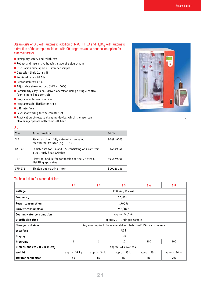#### Steam distiller S 5 with automatic addition of NaOH,  $H_2O$  and  $H_3BO_3$  with automatic extraction of the sample residues, with 99 programs and a connection option for external titrator

- $\blacksquare$  Exemplary safety and reliability
- $\blacksquare$  Robust and insensitive housing made of polyurethane
- $\blacksquare$  Distillation time approx. 3 min per sample
- $\blacksquare$  Detection limit 0.1 mg N
- Retrieval rate  $> 99.5%$
- Reproducibility  $\pm$  1%
- Adjustable steam output  $(40\% 100\%)$
- $\blacksquare$  Particularly easy, menu-driven operation using a single control (behr single-knob control)
- $\blacksquare$  Programmable reaction time
- $\blacksquare$  Programmable distillation time
- $\blacksquare$  USB interface
- $\blacksquare$  Level monitoring for the canister set
- $\blacksquare$  Practical quick-release clamping device, which the user can also easily operate with their left hand

#### S 5

| <b>Type</b>    | <b>Product description</b>                                                              | Art. No.  |
|----------------|-----------------------------------------------------------------------------------------|-----------|
| S 5            | Steam distiller, fully automatic, prepared<br>for external titrator (e.g. TB 1)         | 804849005 |
| <b>KAS 40</b>  | Canister set for S 4 and S 5, consisting of 4 canisters<br>à 20 l, incl. float switches | 804849040 |
| TB 1           | Titration module for connection to the S 5 steam<br>distilling apparatus                | 804849006 |
| <b>SRP-275</b> | Bixolon dot matrix printer                                                              | B00218038 |

#### Technical data for steam distillers

|                              | S <sub>1</sub>                                                                    | S <sub>2</sub> | S <sub>3</sub> | S <sub>4</sub> | S <sub>5</sub> |
|------------------------------|-----------------------------------------------------------------------------------|----------------|----------------|----------------|----------------|
| Voltage                      | 230 VAC/115 VAC                                                                   |                |                |                |                |
| <b>Frequency</b>             | 50/60 Hz                                                                          |                |                |                |                |
| <b>Power consumption</b>     | 1700 W                                                                            |                |                |                |                |
| <b>Current consumption</b>   | 9 A/18 A                                                                          |                |                |                |                |
| Cooling water consumption    | approx. $5 \frac{1}{min}$                                                         |                |                |                |                |
| <b>Distillation time</b>     | approx. 2 - 4 min per sample                                                      |                |                |                |                |
| <b>Storage container</b>     | Any size required. Recommendation: behrotest® KAS canister sets                   |                |                |                |                |
| <b>Interface</b>             | <b>USB</b>                                                                        |                |                |                |                |
| <b>Display</b>               | LCD                                                                               |                |                |                |                |
| <b>Programs</b>              | $\mathbf{1}$<br>$\mathbf{1}$<br>10<br>100<br>100                                  |                |                |                |                |
| Dimensions (W x H x D in cm) | approx. 41 x 67.5 x 41                                                            |                |                |                |                |
| Weight                       | approx. 32 kg<br>approx. 34 kg<br>approx. 36 kg<br>approx. 35 kg<br>approx. 35 kg |                |                |                |                |
| <b>Titrator connection</b>   | no<br>no<br>no<br>no<br>yes                                                       |                |                |                |                |



S 5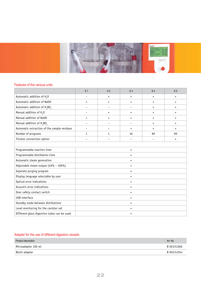

### Features of the various units

|                                                      | S <sub>1</sub>           | S <sub>2</sub>           | S <sub>3</sub> | S <sub>4</sub>           | S <sub>5</sub> |
|------------------------------------------------------|--------------------------|--------------------------|----------------|--------------------------|----------------|
| Automatic addition of H <sub>2</sub> O               | -                        | $+$                      | $+$            | $+$                      | $+$            |
| Automatic addition of NaOH                           | $\ddot{}$                | $\ddot{}$                | $\ddot{}$      | $+$                      | $\ddot{}$      |
| Automatic addition of H <sub>3</sub> BO <sub>3</sub> | $\overline{\phantom{0}}$ |                          | $\equiv$       | $+$                      | $+$            |
| Manual addition of H <sub>2</sub> O                  |                          | $\ddot{}$                | $\ddot{}$      | $\ddot{}$                | $\ddot{}$      |
| Manual addition of NaOH                              | $\ddot{}$                | $\ddot{}$                | $\ddot{}$      | $+$                      | $\ddot{}$      |
| Manual addition of H <sub>3</sub> BO <sub>3</sub>    | -                        | $\overline{\phantom{0}}$ | -              | $+$                      | $\ddot{}$      |
| Automatic extraction of the sample residues          | -                        | $\overline{\phantom{0}}$ | $\ddot{}$      | $+$                      | $\ddot{}$      |
| Number of programs                                   | 1                        | 1                        | 10             | 99                       | 99             |
| Titrator connection option                           | $\overline{\phantom{0}}$ | $\overline{\phantom{0}}$ | -              | $\overline{\phantom{a}}$ | $+$            |
|                                                      |                          |                          |                |                          |                |
| Programmable reaction time                           | $\ddot{}$                |                          |                |                          |                |
| Programmable distillation time                       | $\ddot{}$                |                          |                |                          |                |
| Automatic steam generation                           |                          |                          | $\ddot{}$      |                          |                |
| Adjustable steam output (40% - 100%)                 |                          |                          | $\ddot{}$      |                          |                |
| Separate purging program                             | $\ddot{}$                |                          |                |                          |                |
| Display language selectable by user                  | $\ddot{}$                |                          |                |                          |                |
| Optical error indications                            | $\ddot{}$                |                          |                |                          |                |
| Acoustic error indications                           | $\ddot{}$                |                          |                |                          |                |
| Door safety contact switch                           | $\ddot{}$                |                          |                |                          |                |
| USB interface                                        | $\ddot{}$                |                          |                |                          |                |
| Standby mode between distillations                   | $\ddot{}$                |                          |                |                          |                |
| Level monitoring for the canister set                | $\ddot{}$                |                          |                |                          |                |
| Different glass digestion tubes can be used          |                          |                          | $\ddot{}$      |                          |                |

# Adapter for the use of different digestion vessels

| Product description | Art. No.   |
|---------------------|------------|
| Microadapter 100 ml | B 00232266 |
| Büchi adapter       | B 00232254 |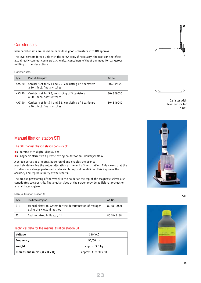### Canister sets

behr canister sets are based on hazardous goods canisters with UN approval.

The level sensors form a unit with the screw caps. If necessary, the user can therefore also directly connect commercial chemical containers without any need for dangerous refilling or transfer actions.

#### Canister sets

| <b>Type</b>   | Product description                                                                     | Art. No.  |
|---------------|-----------------------------------------------------------------------------------------|-----------|
| <b>KAS 20</b> | Canister set for S 1 and S 2, consisting of 2 canisters<br>à 20 l, incl. float switches | 804849020 |
| KAS 30        | Canister set for S 3, consisting of 3 canisters<br>à 20 l, incl. float switches         | 804849030 |
| KAS 40        | Canister set for S 4 and S 5, consisting of 4 canisters<br>à 20 l, incl. float switches | 804849040 |



Canister with level sensor for NaOH

## Manual titration station STI

The STI manual titration station consists of:

- $\blacksquare$  a burette with digital display and
- $\blacksquare$  a magnetic stirrer with precise fitting holder for an Erlenmeyer flask

A screen serves as a neutral background and enables the user to precisely determine the colour alteration at the end of the titration. This means that the titrations are always performed under similar optical conditions. This improves the accuracy and reproducibility of the results.

The precise positioning of the vessel in the holder at the top of the magnetic stirrer also contributes towards this. The angular sides of the screen provide additional protection against lateral glare.

Manual titration station STI

| <b>Type</b> | Product description                                                                    | Art. No.  |
|-------------|----------------------------------------------------------------------------------------|-----------|
| <b>STI</b>  | Manual titration system for the determination of nitrogen<br>using the Kjeldahl method | 804842020 |
| ΤS          | Tashiro mixed indicator, 1 l                                                           | 804849148 |

#### Technical data for the manual titration station STI

| Voltage                                  | 230 VAC                          |
|------------------------------------------|----------------------------------|
| Frequency                                | 50/60 Hz                         |
| Weight                                   | approx. 3.5 kg                   |
| Dimensions in cm $(W \times D \times H)$ | approx. $33 \times 20 \times 60$ |



STI